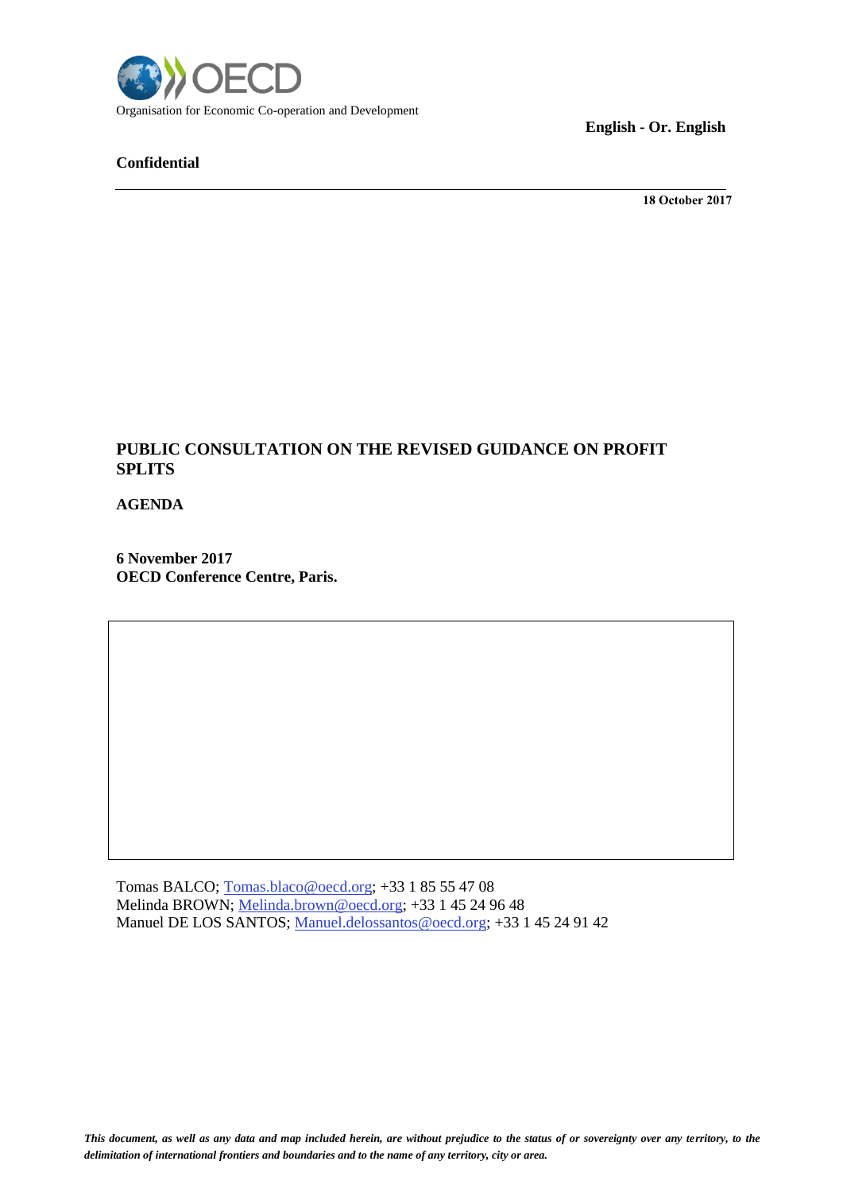

## **Confidential**

**English - Or. English**

**18 October 2017**

## **PUBLIC CONSULTATION ON THE REVISED GUIDANCE ON PROFIT SPLITS**

**AGENDA**

**6 November 2017 OECD Conference Centre, Paris.** 

Tomas BALCO; [Tomas.blaco@oecd.org;](mailto:Tomas.blaco@oecd.org) +33 1 85 55 47 08 Melinda BROWN; [Melinda.brown@oecd.org;](mailto:Melinda.brown@oecd.org) +33 1 45 24 96 48 Manuel DE LOS SANTOS; [Manuel.delossantos@oecd.org;](mailto:Manuel.delossantos@oecd.org) +33 1 45 24 91 42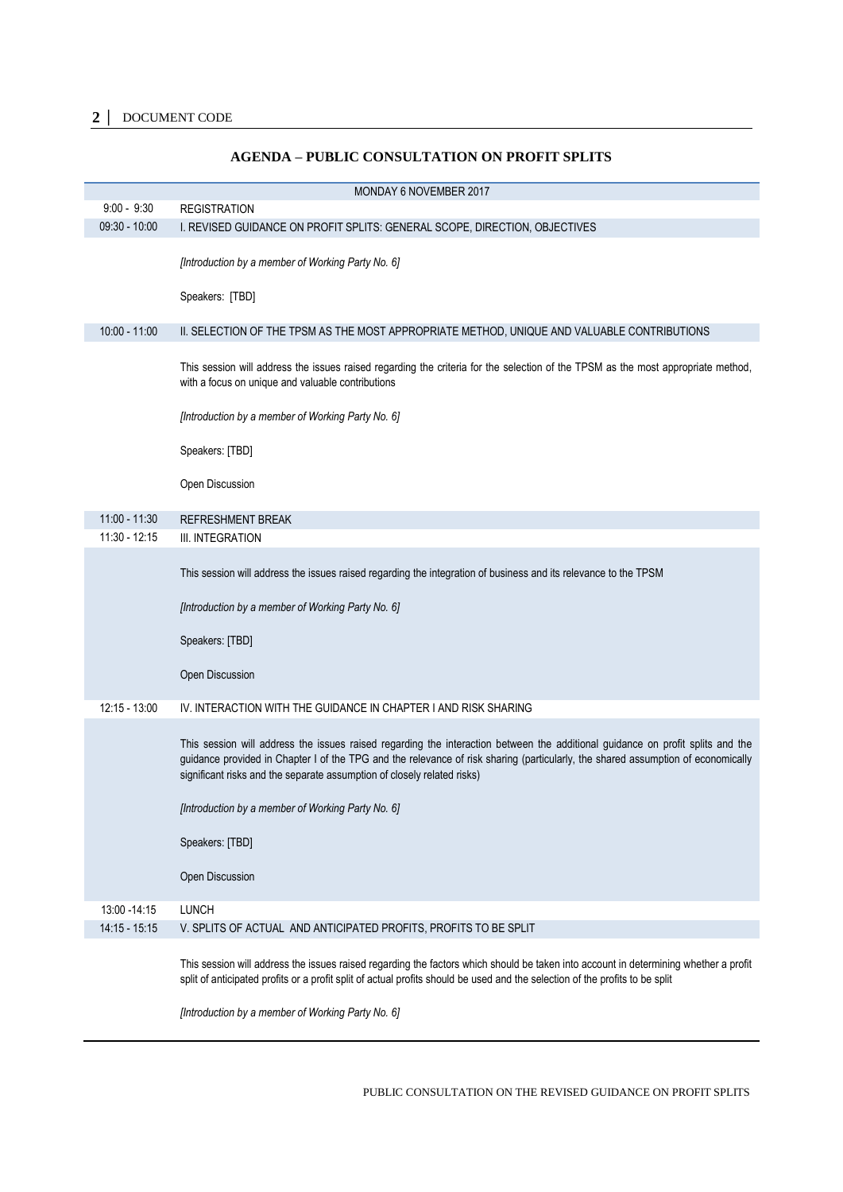| MONDAY 6 NOVEMBER 2017 |                                                                                                                                                                                                                                                                                                                                               |  |
|------------------------|-----------------------------------------------------------------------------------------------------------------------------------------------------------------------------------------------------------------------------------------------------------------------------------------------------------------------------------------------|--|
| $9:00 - 9:30$          | <b>REGISTRATION</b>                                                                                                                                                                                                                                                                                                                           |  |
| $09:30 - 10:00$        | I. REVISED GUIDANCE ON PROFIT SPLITS: GENERAL SCOPE, DIRECTION, OBJECTIVES                                                                                                                                                                                                                                                                    |  |
|                        | [Introduction by a member of Working Party No. 6]                                                                                                                                                                                                                                                                                             |  |
|                        | Speakers: [TBD]                                                                                                                                                                                                                                                                                                                               |  |
| $10:00 - 11:00$        | II. SELECTION OF THE TPSM AS THE MOST APPROPRIATE METHOD, UNIQUE AND VALUABLE CONTRIBUTIONS                                                                                                                                                                                                                                                   |  |
|                        | This session will address the issues raised regarding the criteria for the selection of the TPSM as the most appropriate method,<br>with a focus on unique and valuable contributions                                                                                                                                                         |  |
|                        | [Introduction by a member of Working Party No. 6]                                                                                                                                                                                                                                                                                             |  |
|                        | Speakers: [TBD]                                                                                                                                                                                                                                                                                                                               |  |
|                        | Open Discussion                                                                                                                                                                                                                                                                                                                               |  |
| $11:00 - 11:30$        | <b>REFRESHMENT BREAK</b>                                                                                                                                                                                                                                                                                                                      |  |
| 11:30 - 12:15          | III. INTEGRATION                                                                                                                                                                                                                                                                                                                              |  |
|                        | This session will address the issues raised regarding the integration of business and its relevance to the TPSM                                                                                                                                                                                                                               |  |
|                        | [Introduction by a member of Working Party No. 6]                                                                                                                                                                                                                                                                                             |  |
|                        | Speakers: [TBD]                                                                                                                                                                                                                                                                                                                               |  |
|                        | Open Discussion                                                                                                                                                                                                                                                                                                                               |  |
| $12:15 - 13:00$        | IV. INTERACTION WITH THE GUIDANCE IN CHAPTER I AND RISK SHARING                                                                                                                                                                                                                                                                               |  |
|                        | This session will address the issues raised regarding the interaction between the additional guidance on profit splits and the<br>guidance provided in Chapter I of the TPG and the relevance of risk sharing (particularly, the shared assumption of economically<br>significant risks and the separate assumption of closely related risks) |  |
|                        | [Introduction by a member of Working Party No. 6]                                                                                                                                                                                                                                                                                             |  |
|                        | Speakers: [TBD]                                                                                                                                                                                                                                                                                                                               |  |
|                        | Open Discussion                                                                                                                                                                                                                                                                                                                               |  |
| 13:00 - 14:15          | <b>LUNCH</b>                                                                                                                                                                                                                                                                                                                                  |  |
| 14:15 - 15:15          | V. SPLITS OF ACTUAL AND ANTICIPATED PROFITS, PROFITS TO BE SPLIT                                                                                                                                                                                                                                                                              |  |
|                        |                                                                                                                                                                                                                                                                                                                                               |  |
|                        | This session will address the issues raised regarding the factors which should be taken into account in determining whether a profit<br>split of anticipated profits or a profit split of actual profits should be used and the selection of the profits to be split                                                                          |  |
|                        | [Introduction by a member of Working Party No. 6]                                                                                                                                                                                                                                                                                             |  |

## **AGENDA – PUBLIC CONSULTATION ON PROFIT SPLITS**